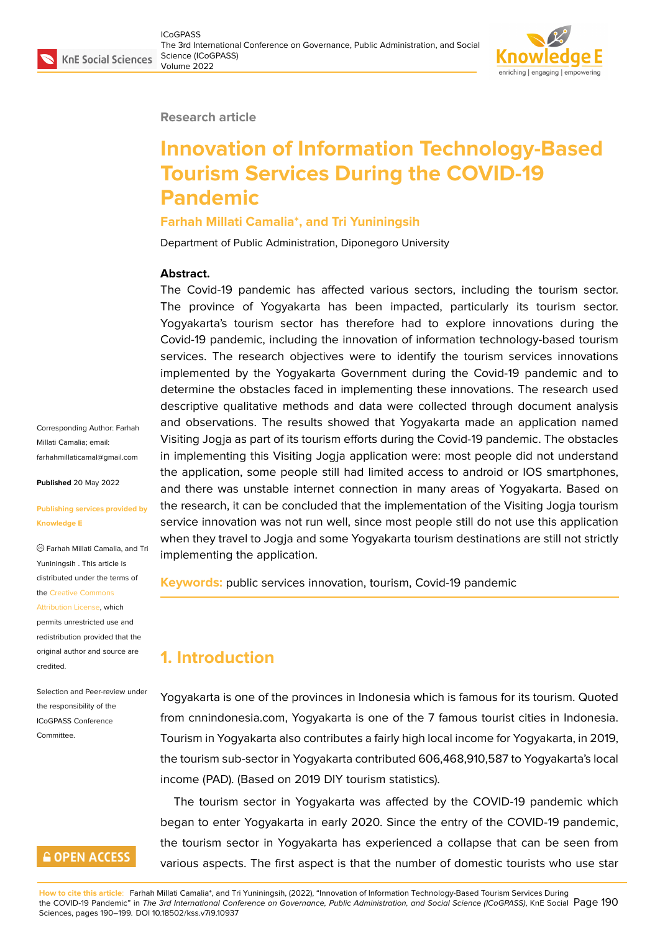#### **Research article**

# **Innovation of Information Technology-Based Tourism Services During the COVID-19 Pandemic**

#### **Farhah Millati Camalia\*, and Tri Yuniningsih**

Department of Public Administration, Diponegoro University

#### **Abstract.**

The Covid-19 pandemic has affected various sectors, including the tourism sector. The province of Yogyakarta has been impacted, particularly its tourism sector. Yogyakarta's tourism sector has therefore had to explore innovations during the Covid-19 pandemic, including the innovation of information technology-based tourism services. The research objectives were to identify the tourism services innovations implemented by the Yogyakarta Government during the Covid-19 pandemic and to determine the obstacles faced in implementing these innovations. The research used descriptive qualitative methods and data were collected through document analysis and observations. The results showed that Yogyakarta made an application named Visiting Jogja as part of its tourism efforts during the Covid-19 pandemic. The obstacles in implementing this Visiting Jogja application were: most people did not understand the application, some people still had limited access to android or IOS smartphones, and there was unstable internet connection in many areas of Yogyakarta. Based on the research, it can be concluded that the implementation of the Visiting Jogja tourism service innovation was not run well, since most people still do not use this application when they travel to Jogja and some Yogyakarta tourism destinations are still not strictly implementing the application.

**Keywords:** public services innovation, tourism, Covid-19 pandemic

# **1. Introduction**

Yogyakarta is one of the provinces in Indonesia which is famous for its tourism. Quoted from cnnindonesia.com, Yogyakarta is one of the 7 famous tourist cities in Indonesia. Tourism in Yogyakarta also contributes a fairly high local income for Yogyakarta, in 2019, the tourism sub-sector in Yogyakarta contributed 606,468,910,587 to Yogyakarta's local income (PAD). (Based on 2019 DIY tourism statistics).

The tourism sector in Yogyakarta was affected by the COVID-19 pandemic which began to enter Yogyakarta in early 2020. Since the entry of the COVID-19 pandemic, the tourism sector in Yogyakarta has experienced a collapse that can be seen from various aspects. The first aspect is that the number of domestic tourists who use star

Corresponding Author: Farhah Millati Camalia; email: farhahmillaticamal@gmail.com

**Published** 20 May 2022

#### **[Publishing services provided](mailto:farhahmillaticamal@gmail.com) by Knowledge E**

Farhah Millati Camalia, and Tri Yuniningsih . This article is distributed under the terms of the Creative Commons

Attribution License, which

permits unrestricted use and redistribution provided that the orig[inal author and sou](https://creativecommons.org/licenses/by/4.0/)rce are [credited.](https://creativecommons.org/licenses/by/4.0/)

Selection and Peer-review under the responsibility of the ICoGPASS Conference Committee.

### **GOPEN ACCESS**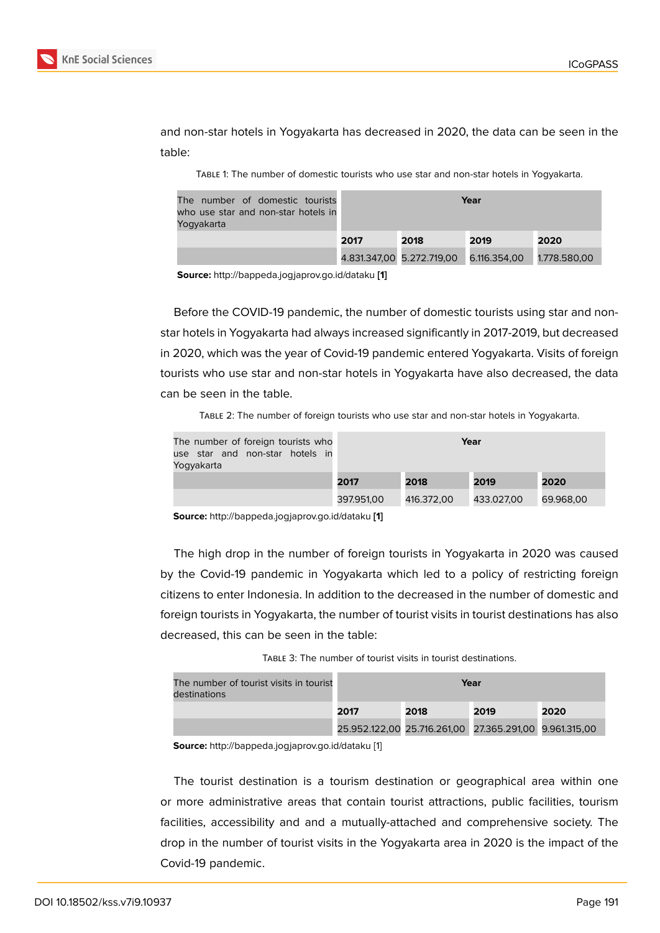and non-star hotels in Yogyakarta has decreased in 2020, the data can be seen in the table:

Table 1: The number of domestic tourists who use star and non-star hotels in Yogyakarta.

| The number of domestic tourists<br>who use star and non-star hotels in<br>Yoqyakarta |      | Year                      |              |              |
|--------------------------------------------------------------------------------------|------|---------------------------|--------------|--------------|
|                                                                                      | 2017 | 2018                      | 2019         | 2020         |
|                                                                                      |      | 4.831.347,00 5.272.719,00 | 6.116.354,00 | 1.778.580,00 |

**Source:** http://bappeda.jogjaprov.go.id/dataku **[1]**

Before the COVID-19 pandemic, the number of domestic tourists using star and nonstar hotels in Yogyakarta had always incre[a](#page-8-0)sed significantly in 2017-2019, but decreased in 2020, which was the year of Covid-19 pandemic entered Yogyakarta. Visits of foreign tourists who use star and non-star hotels in Yogyakarta have also decreased, the data can be seen in the table.

Table 2: The number of foreign tourists who use star and non-star hotels in Yogyakarta.

| The number of foreign tourists who<br>use star and non-star hotels in<br>Yoqyakarta | Year       |            |            |           |
|-------------------------------------------------------------------------------------|------------|------------|------------|-----------|
|                                                                                     | 2017       | 2018       | 2019       | 2020      |
|                                                                                     | 397.951,00 | 416.372,00 | 433.027,00 | 69.968,00 |

**Source:** http://bappeda.jogjaprov.go.id/dataku **[1]**

The high drop in the number of foreign tourists in Yogyakarta in 2020 was caused by the Covid-19 pandemic in Yogyakart[a](#page-8-0) which led to a policy of restricting foreign citizens to enter Indonesia. In addition to the decreased in the number of domestic and foreign tourists in Yogyakarta, the number of tourist visits in tourist destinations has also decreased, this can be seen in the table:

TABLE 3: The number of tourist visits in tourist destinations.

| The number of tourist visits in tourist<br>destinations | Year                                                   |      |      |      |
|---------------------------------------------------------|--------------------------------------------------------|------|------|------|
|                                                         | 2017                                                   | 2018 | 2019 | 2020 |
|                                                         | 25.952.122,00 25.716.261,00 27.365.291,00 9.961.315,00 |      |      |      |

**Source:** http://bappeda.jogjaprov.go.id/dataku [1]

The tourist destination is a tourism destination or geographical area within one or more administrative areas that conta[in](#page-8-0) tourist attractions, public facilities, tourism facilities, accessibility and and a mutually-attached and comprehensive society. The drop in the number of tourist visits in the Yogyakarta area in 2020 is the impact of the Covid-19 pandemic.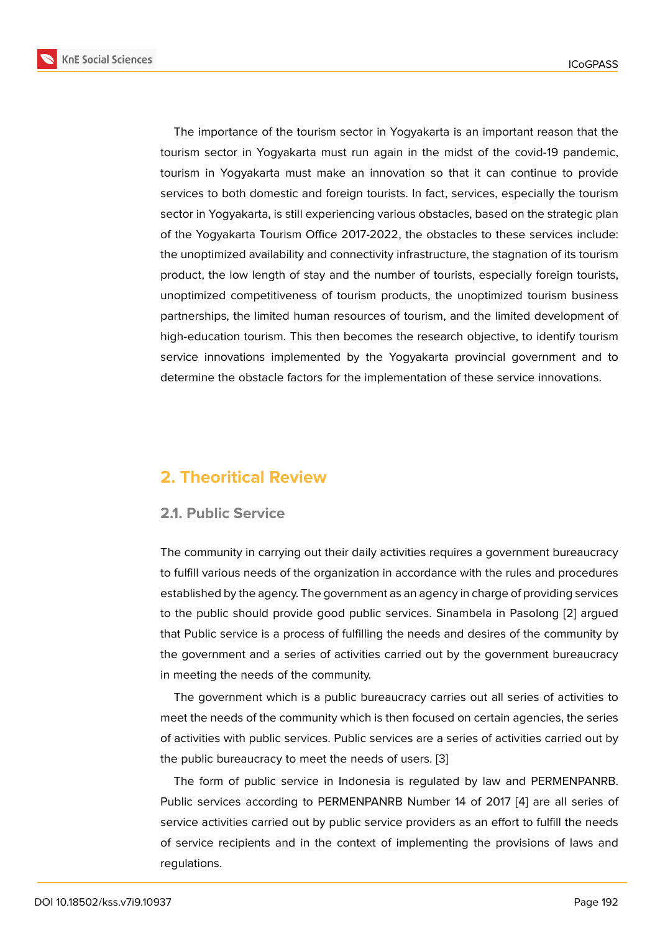The importance of the tourism sector in Yogyakarta is an important reason that the tourism sector in Yogyakarta must run again in the midst of the covid-19 pandemic, tourism in Yogyakarta must make an innovation so that it can continue to provide services to both domestic and foreign tourists. In fact, services, especially the tourism sector in Yogyakarta, is still experiencing various obstacles, based on the strategic plan of the Yogyakarta Tourism Office 2017-2022, the obstacles to these services include: the unoptimized availability and connectivity infrastructure, the stagnation of its tourism product, the low length of stay and the number of tourists, especially foreign tourists, unoptimized competitiveness of tourism products, the unoptimized tourism business partnerships, the limited human resources of tourism, and the limited development of high-education tourism. This then becomes the research objective, to identify tourism service innovations implemented by the Yogyakarta provincial government and to determine the obstacle factors for the implementation of these service innovations.

### **2. Theoritical Review**

#### **2.1. Public Service**

The community in carrying out their daily activities requires a government bureaucracy to fulfill various needs of the organization in accordance with the rules and procedures established by the agency. The government as an agency in charge of providing services to the public should provide good public services. Sinambela in Pasolong [2] argued that Public service is a process of fulfilling the needs and desires of the community by the government and a series of activities carried out by the government bureaucracy in meeting the needs of the community.

The government which is a public bureaucracy carries out all series of activities to meet the needs of the community which is then focused on certain agencies, the series of activities with public services. Public services are a series of activities carried out by the public bureaucracy to meet the needs of users. [3]

The form of public service in Indonesia is regulated by law and PERMENPANRB. Public services according to PERMENPANRB Number 14 of 2017 [4] are all series of service activities carried out by public service provi[de](#page-8-1)rs as an effort to fulfill the needs of service recipients and in the context of implementing the provisions of laws and regulations.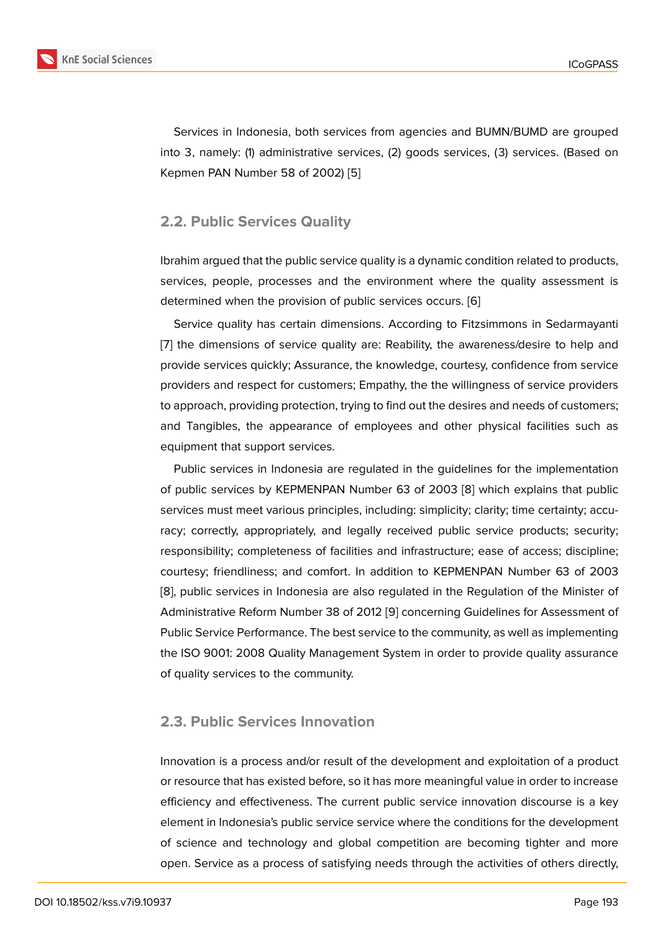Services in Indonesia, both services from agencies and BUMN/BUMD are grouped into 3, namely: (1) administrative services, (2) goods services, (3) services. (Based on Kepmen PAN Number 58 of 2002) [5]

### **2.2. Public Services Quality**

Ibrahim argued that the public service quality is a dynamic condition related to products, services, people, processes and the environment where the quality assessment is determined when the provision of public services occurs. [6]

Service quality has certain dimensions. According to Fitzsimmons in Sedarmayanti [7] the dimensions of service quality are: Reability, the awareness/desire to help and provide services quickly; Assurance, the knowledge, court[es](#page-8-2)y, confidence from service providers and respect for customers; Empathy, the the willingness of service providers [to](#page-8-3) approach, providing protection, trying to find out the desires and needs of customers; and Tangibles, the appearance of employees and other physical facilities such as equipment that support services.

Public services in Indonesia are regulated in the guidelines for the implementation of public services by KEPMENPAN Number 63 of 2003 [8] which explains that public services must meet various principles, including: simplicity; clarity; time certainty; accuracy; correctly, appropriately, and legally received public service products; security; responsibility; completeness of facilities and infrastructu[re;](#page-8-4) ease of access; discipline; courtesy; friendliness; and comfort. In addition to KEPMENPAN Number 63 of 2003 [8], public services in Indonesia are also regulated in the Regulation of the Minister of Administrative Reform Number 38 of 2012 [9] concerning Guidelines for Assessment of Public Service Performance. The best service to the community, as well as implementing [th](#page-8-4)e ISO 9001: 2008 Quality Management System in order to provide quality assurance of quality services to the community.

#### **2.3. Public Services Innovation**

Innovation is a process and/or result of the development and exploitation of a product or resource that has existed before, so it has more meaningful value in order to increase efficiency and effectiveness. The current public service innovation discourse is a key element in Indonesia's public service service where the conditions for the development of science and technology and global competition are becoming tighter and more open. Service as a process of satisfying needs through the activities of others directly,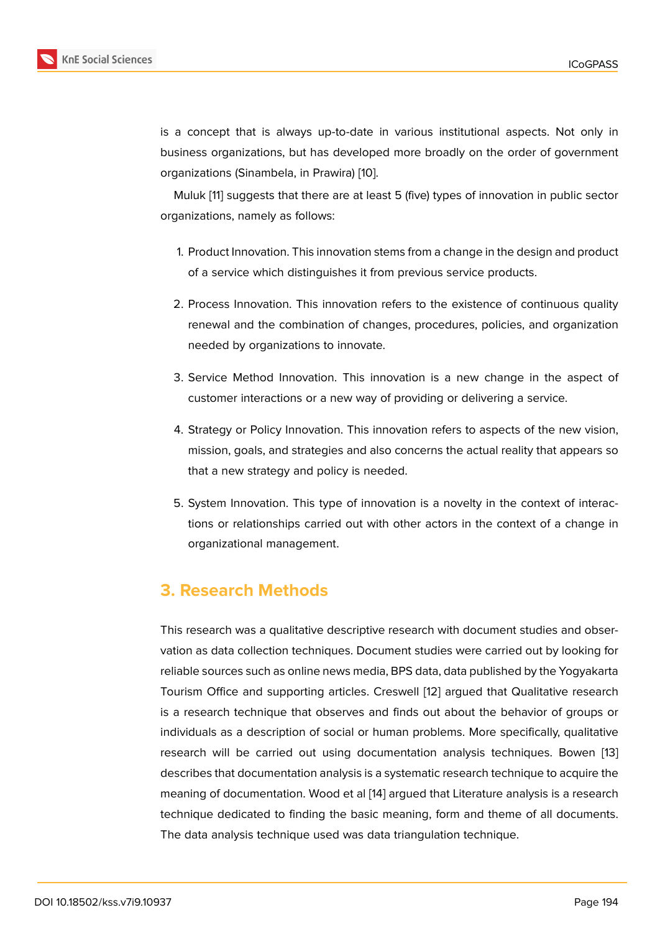is a concept that is always up-to-date in various institutional aspects. Not only in business organizations, but has developed more broadly on the order of government organizations (Sinambela, in Prawira) [10].

Muluk [11] suggests that there are at least 5 (five) types of innovation in public sector organizations, namely as follows:

- 1. Pro[duc](#page-8-5)t Innovation. This innovation stems from a change in the design and product of a service which distinguishes it from previous service products.
- 2. Process Innovation. This innovation refers to the existence of continuous quality renewal and the combination of changes, procedures, policies, and organization needed by organizations to innovate.
- 3. Service Method Innovation. This innovation is a new change in the aspect of customer interactions or a new way of providing or delivering a service.
- 4. Strategy or Policy Innovation. This innovation refers to aspects of the new vision, mission, goals, and strategies and also concerns the actual reality that appears so that a new strategy and policy is needed.
- 5. System Innovation. This type of innovation is a novelty in the context of interactions or relationships carried out with other actors in the context of a change in organizational management.

### **3. Research Methods**

This research was a qualitative descriptive research with document studies and observation as data collection techniques. Document studies were carried out by looking for reliable sources such as online news media, BPS data, data published by the Yogyakarta Tourism Office and supporting articles. Creswell [12] argued that Qualitative research is a research technique that observes and finds out about the behavior of groups or individuals as a description of social or human problems. More specifically, qualitative research will be carried out using documentati[on](#page-8-6) analysis techniques. Bowen [13] describes that documentation analysis is a systematic research technique to acquire the meaning of documentation. Wood et al [14] argued that Literature analysis is a research technique dedicated to finding the basic meaning, form and theme of all docume[nts.](#page-9-0) The data analysis technique used was data triangulation technique.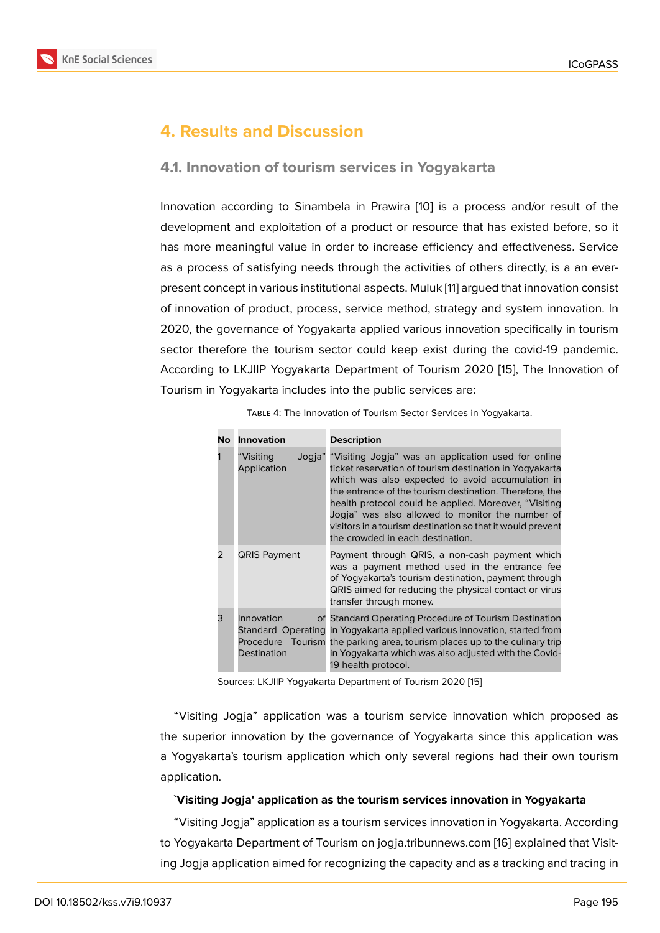### **4. Results and Discussion**

### **4.1. Innovation of tourism services in Yogyakarta**

Innovation according to Sinambela in Prawira [10] is a process and/or result of the development and exploitation of a product or resource that has existed before, so it has more meaningful value in order to increase efficiency and effectiveness. Service as a process of satisfying needs through the ac[tivi](#page-8-7)ties of others directly, is a an everpresent concept in various institutional aspects. Muluk [11] argued that innovation consist of innovation of product, process, service method, strategy and system innovation. In 2020, the governance of Yogyakarta applied various innovation specifically in tourism sector therefore the tourism sector could keep exis[t d](#page-8-5)uring the covid-19 pandemic. According to LKJIIP Yogyakarta Department of Tourism 2020 [15], The Innovation of Tourism in Yogyakarta includes into the public services are:

| No            | Innovation                | <b>Description</b>                                                                                                                                                                                                                                                                                                                                                                                                                                   |
|---------------|---------------------------|------------------------------------------------------------------------------------------------------------------------------------------------------------------------------------------------------------------------------------------------------------------------------------------------------------------------------------------------------------------------------------------------------------------------------------------------------|
|               | "Visiting<br>Application  | Jogja" "Visiting Jogja" was an application used for online<br>ticket reservation of tourism destination in Yogyakarta<br>which was also expected to avoid accumulation in<br>the entrance of the tourism destination. Therefore, the<br>health protocol could be applied. Moreover, "Visiting"<br>Jogja" was also allowed to monitor the number of<br>visitors in a tourism destination so that it would prevent<br>the crowded in each destination. |
| $\mathcal{P}$ | <b>QRIS Payment</b>       | Payment through QRIS, a non-cash payment which<br>was a payment method used in the entrance fee<br>of Yogyakarta's tourism destination, payment through<br>QRIS aimed for reducing the physical contact or virus<br>transfer through money.                                                                                                                                                                                                          |
| 3             | Innovation<br>Destination | of Standard Operating Procedure of Tourism Destination<br>Standard Operating in Yogyakarta applied various innovation, started from<br>Procedure Tourism the parking area, tourism places up to the culinary trip<br>in Yogyakarta which was also adjusted with the Covid-<br>19 health protocol.                                                                                                                                                    |

Table 4: The Innovation of Tourism Sector Services in Yogyakarta.

Sources: LKJIIP Yogyakarta Department of Tourism 2020 [15]

"Visiting Jogja" application was a tourism service innovation which proposed as the superior innovation by the governance of Yogyakart[a s](#page-9-1)ince this application was a Yogyakarta's tourism application which only several regions had their own tourism application.

#### **`Visiting Jogja' application as the tourism services innovation in Yogyakarta**

"Visiting Jogja" application as a tourism services innovation in Yogyakarta. According to Yogyakarta Department of Tourism on jogja.tribunnews.com [16] explained that Visiting Jogja application aimed for recognizing the capacity and as a tracking and tracing in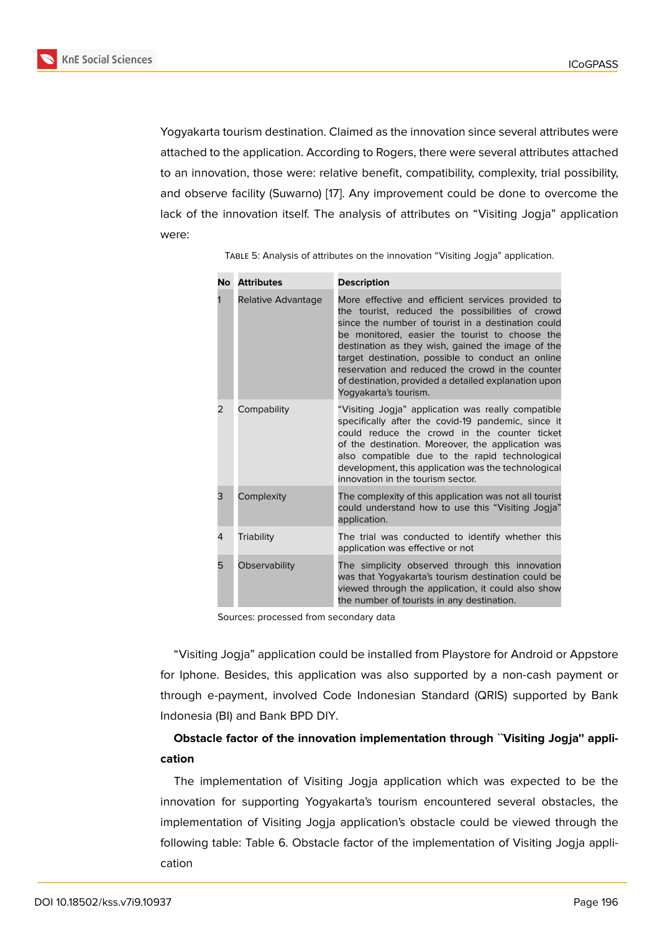Yogyakarta tourism destination. Claimed as the innovation since several attributes were attached to the application. According to Rogers, there were several attributes attached to an innovation, those were: relative benefit, compatibility, complexity, trial possibility, and observe facility (Suwarno) [17]. Any improvement could be done to overcome the lack of the innovation itself. The analysis of attributes on "Visiting Jogja" application were:

| <b>No</b>     | <b>Attributes</b>  | <b>Description</b>                                                                                                                                                                                                                                                                                                                                                                                                                                          |
|---------------|--------------------|-------------------------------------------------------------------------------------------------------------------------------------------------------------------------------------------------------------------------------------------------------------------------------------------------------------------------------------------------------------------------------------------------------------------------------------------------------------|
|               | Relative Advantage | More effective and efficient services provided to<br>the tourist, reduced the possibilities of crowd<br>since the number of tourist in a destination could<br>be monitored, easier the tourist to choose the<br>destination as they wish, gained the image of the<br>target destination, possible to conduct an online<br>reservation and reduced the crowd in the counter<br>of destination, provided a detailed explanation upon<br>Yogyakarta's tourism. |
| $\mathcal{P}$ | Compability        | "Visiting Jogja" application was really compatible<br>specifically after the covid-19 pandemic, since it<br>could reduce the crowd in the counter ticket<br>of the destination. Moreover, the application was<br>also compatible due to the rapid technological<br>development, this application was the technological<br>innovation in the tourism sector.                                                                                                 |
| 3             | Complexity         | The complexity of this application was not all tourist<br>could understand how to use this "Visiting Jogja"<br>application.                                                                                                                                                                                                                                                                                                                                 |
| 4             | Triability         | The trial was conducted to identify whether this<br>application was effective or not                                                                                                                                                                                                                                                                                                                                                                        |
| 5             | Observability      | The simplicity observed through this innovation<br>was that Yogyakarta's tourism destination could be<br>viewed through the application, it could also show<br>the number of tourists in any destination.                                                                                                                                                                                                                                                   |

Table 5: Analysis of attr[ibu](#page-9-2)tes on the innovation "Visiting Jogja" application.

Sources: processed from secondary data

"Visiting Jogja" application could be installed from Playstore for Android or Appstore for Iphone. Besides, this application was also supported by a non-cash payment or through e-payment, involved Code Indonesian Standard (QRIS) supported by Bank Indonesia (BI) and Bank BPD DIY.

### **Obstacle factor of the innovation implementation through ``Visiting Jogja'' application**

The implementation of Visiting Jogja application which was expected to be the innovation for supporting Yogyakarta's tourism encountered several obstacles, the implementation of Visiting Jogja application's obstacle could be viewed through the following table: Table 6. Obstacle factor of the implementation of Visiting Jogja application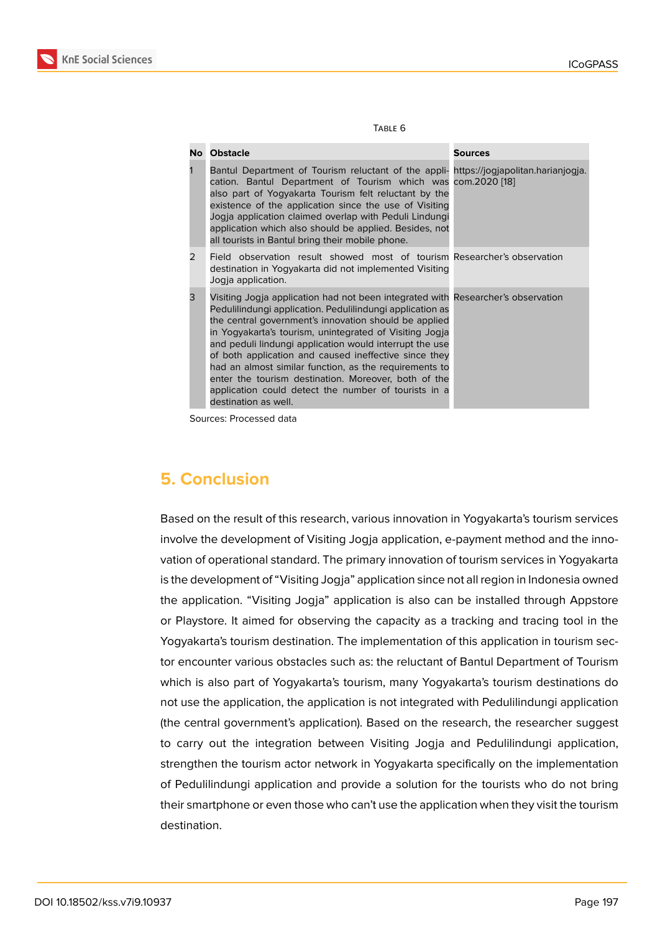| w<br>۰,<br>۰. |
|---------------|
|---------------|

| No l          | <b>Obstacle</b>                                                                                                                                                                                                                                                                                                                                                                                                                                                                                                                                                                         | Sources |
|---------------|-----------------------------------------------------------------------------------------------------------------------------------------------------------------------------------------------------------------------------------------------------------------------------------------------------------------------------------------------------------------------------------------------------------------------------------------------------------------------------------------------------------------------------------------------------------------------------------------|---------|
| 1             | Bantul Department of Tourism reluctant of the appli- https://jogjapolitan.harianjogja.<br>cation. Bantul Department of Tourism which was com.2020 [18]<br>also part of Yogyakarta Tourism felt reluctant by the<br>existence of the application since the use of Visiting<br>Jogja application claimed overlap with Peduli Lindungi<br>application which also should be applied. Besides, not<br>all tourists in Bantul bring their mobile phone.                                                                                                                                       |         |
| $\mathcal{P}$ | Field observation result showed most of tourism Researcher's observation<br>destination in Yogyakarta did not implemented Visiting<br>Jogia application.                                                                                                                                                                                                                                                                                                                                                                                                                                |         |
| 3             | Visiting Jogja application had not been integrated with Researcher's observation<br>Pedulilindungi application. Pedulilindungi application as<br>the central government's innovation should be applied<br>in Yogyakarta's tourism, unintegrated of Visiting Jogja<br>and peduli lindungi application would interrupt the use<br>of both application and caused ineffective since they<br>had an almost similar function, as the requirements to<br>enter the tourism destination. Moreover, both of the<br>application could detect the number of tourists in a<br>destination as well. |         |

Sources: Processed data

### **5. Conclusion**

Based on the result of this research, various innovation in Yogyakarta's tourism services involve the development of Visiting Jogja application, e-payment method and the innovation of operational standard. The primary innovation of tourism services in Yogyakarta is the development of "Visiting Jogja" application since not all region in Indonesia owned the application. "Visiting Jogja" application is also can be installed through Appstore or Playstore. It aimed for observing the capacity as a tracking and tracing tool in the Yogyakarta's tourism destination. The implementation of this application in tourism sector encounter various obstacles such as: the reluctant of Bantul Department of Tourism which is also part of Yogyakarta's tourism, many Yogyakarta's tourism destinations do not use the application, the application is not integrated with Pedulilindungi application (the central government's application). Based on the research, the researcher suggest to carry out the integration between Visiting Jogja and Pedulilindungi application, strengthen the tourism actor network in Yogyakarta specifically on the implementation of Pedulilindungi application and provide a solution for the tourists who do not bring their smartphone or even those who can't use the application when they visit the tourism destination.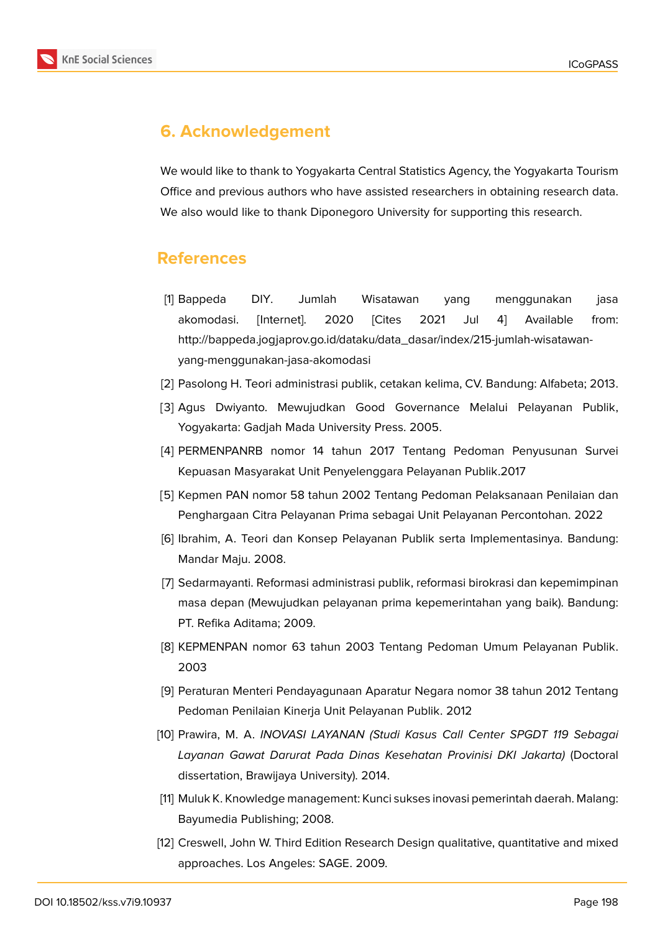

## **6. Acknowledgement**

We would like to thank to Yogyakarta Central Statistics Agency, the Yogyakarta Tourism Office and previous authors who have assisted researchers in obtaining research data. We also would like to thank Diponegoro University for supporting this research.

### **References**

- <span id="page-8-0"></span>[1] Bappeda DIY. Jumlah Wisatawan yang menggunakan jasa akomodasi. [Internet]. 2020 [Cites 2021 Jul 4] Available from: http://bappeda.jogjaprov.go.id/dataku/data\_dasar/index/215-jumlah-wisatawanyang-menggunakan-jasa-akomodasi
- [2] Pasolong H. Teori administrasi publik, cetakan kelima, CV. Bandung: Alfabeta; 2013.
- <span id="page-8-1"></span>[3] Agus Dwiyanto. Mewujudkan Good Governance Melalui Pelayanan Publik, Yogyakarta: Gadjah Mada University Press. 2005.
- [4] PERMENPANRB nomor 14 tahun 2017 Tentang Pedoman Penyusunan Survei Kepuasan Masyarakat Unit Penyelenggara Pelayanan Publik.2017
- [5] Kepmen PAN nomor 58 tahun 2002 Tentang Pedoman Pelaksanaan Penilaian dan Penghargaan Citra Pelayanan Prima sebagai Unit Pelayanan Percontohan. 2022
- <span id="page-8-2"></span>[6] Ibrahim, A. Teori dan Konsep Pelayanan Publik serta Implementasinya. Bandung: Mandar Maju. 2008.
- <span id="page-8-3"></span>[7] Sedarmayanti. Reformasi administrasi publik, reformasi birokrasi dan kepemimpinan masa depan (Mewujudkan pelayanan prima kepemerintahan yang baik). Bandung: PT. Refika Aditama; 2009.
- <span id="page-8-4"></span>[8] KEPMENPAN nomor 63 tahun 2003 Tentang Pedoman Umum Pelayanan Publik. 2003
- [9] Peraturan Menteri Pendayagunaan Aparatur Negara nomor 38 tahun 2012 Tentang Pedoman Penilaian Kinerja Unit Pelayanan Publik. 2012
- <span id="page-8-7"></span>[10] Prawira, M. A. *INOVASI LAYANAN (Studi Kasus Call Center SPGDT 119 Sebagai Layanan Gawat Darurat Pada Dinas Kesehatan Provinisi DKI Jakarta)* (Doctoral dissertation, Brawijaya University). 2014.
- <span id="page-8-5"></span>[11] Muluk K. Knowledge management: Kunci sukses inovasi pemerintah daerah. Malang: Bayumedia Publishing; 2008.
- <span id="page-8-6"></span>[12] Creswell, John W. Third Edition Research Design qualitative, quantitative and mixed approaches. Los Angeles: SAGE. 2009.